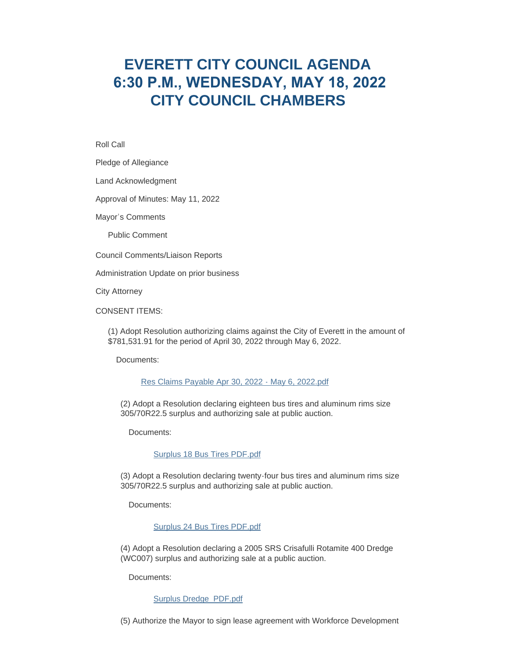# **EVERETT CITY COUNCIL AGENDA 6:30 P.M., WEDNESDAY, MAY 18, 2022 CITY COUNCIL CHAMBERS**

Roll Call

Pledge of Allegiance

Land Acknowledgment

Approval of Minutes: May 11, 2022

Mayor's Comments

Public Comment

Council Comments/Liaison Reports

Administration Update on prior business

City Attorney

CONSENT ITEMS:

(1) Adopt Resolution authorizing claims against the City of Everett in the amount of \$781,531.91 for the period of April 30, 2022 through May 6, 2022.

Documents:

## [Res Claims Payable Apr 30, 2022 - May 6, 2022.pdf](https://www.everettwa.gov/AgendaCenter/ViewFile/Item/13750?fileID=80886)

(2) Adopt a Resolution declaring eighteen bus tires and aluminum rims size 305/70R22.5 surplus and authorizing sale at public auction.

Documents:

[Surplus 18 Bus Tires PDF.pdf](https://www.everettwa.gov/AgendaCenter/ViewFile/Item/13751?fileID=80887)

(3) Adopt a Resolution declaring twenty-four bus tires and aluminum rims size 305/70R22.5 surplus and authorizing sale at public auction.

Documents:

[Surplus 24 Bus Tires PDF.pdf](https://www.everettwa.gov/AgendaCenter/ViewFile/Item/13752?fileID=80888)

(4) Adopt a Resolution declaring a 2005 SRS Crisafulli Rotamite 400 Dredge (WC007) surplus and authorizing sale at a public auction.

Documents:

# [Surplus Dredge\\_PDF.pdf](https://www.everettwa.gov/AgendaCenter/ViewFile/Item/13753?fileID=80898)

(5) Authorize the Mayor to sign lease agreement with Workforce Development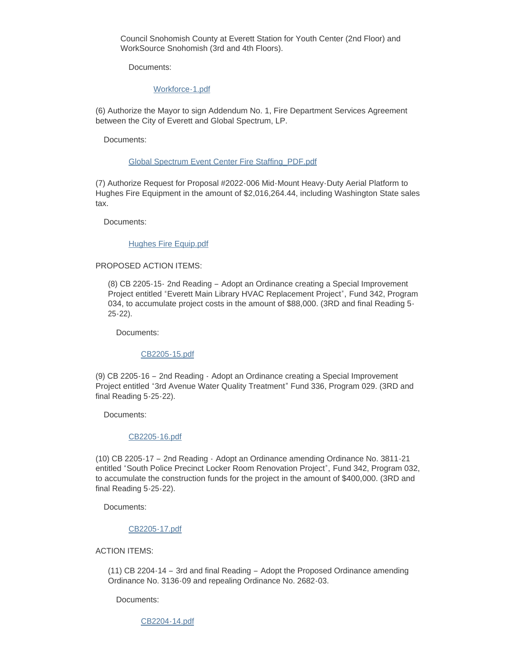Council Snohomish County at Everett Station for Youth Center (2nd Floor) and WorkSource Snohomish (3rd and 4th Floors).

Documents:

## [Workforce-1.pdf](https://www.everettwa.gov/AgendaCenter/ViewFile/Item/13754?fileID=80899)

(6) Authorize the Mayor to sign Addendum No. 1, Fire Department Services Agreement between the City of Everett and Global Spectrum, LP.

Documents:

#### [Global Spectrum Event Center Fire Staffing\\_PDF.pdf](https://www.everettwa.gov/AgendaCenter/ViewFile/Item/13755?fileID=80891)

(7) Authorize Request for Proposal #2022-006 Mid-Mount Heavy-Duty Aerial Platform to Hughes Fire Equipment in the amount of \$2,016,264.44, including Washington State sales tax.

Documents:

#### [Hughes Fire Equip.pdf](https://www.everettwa.gov/AgendaCenter/ViewFile/Item/13756?fileID=80892)

# PROPOSED ACTION ITEMS:

(8) CB 2205-15- 2nd Reading – Adopt an Ordinance creating a Special Improvement Project entitled "Everett Main Library HVAC Replacement Project", Fund 342, Program 034, to accumulate project costs in the amount of \$88,000. (3RD and final Reading 5- 25-22).

Documents:

# [CB2205-15.pdf](https://www.everettwa.gov/AgendaCenter/ViewFile/Item/13757?fileID=80893)

(9) CB 2205-16 – 2nd Reading - Adopt an Ordinance creating a Special Improvement Project entitled "3rd Avenue Water Quality Treatment" Fund 336, Program 029. (3RD and final Reading 5-25-22).

Documents:

#### [CB2205-16.pdf](https://www.everettwa.gov/AgendaCenter/ViewFile/Item/13758?fileID=80894)

(10) CB 2205-17 – 2nd Reading - Adopt an Ordinance amending Ordinance No. 3811-21 entitled "South Police Precinct Locker Room Renovation Project", Fund 342, Program 032, to accumulate the construction funds for the project in the amount of \$400,000. (3RD and final Reading 5-25-22).

Documents:

#### [CB2205-17.pdf](https://www.everettwa.gov/AgendaCenter/ViewFile/Item/13759?fileID=80895)

# ACTION ITEMS:

(11) CB 2204-14 – 3rd and final Reading – Adopt the Proposed Ordinance amending Ordinance No. 3136-09 and repealing Ordinance No. 2682-03.

Documents:

[CB2204-14.pdf](https://www.everettwa.gov/AgendaCenter/ViewFile/Item/13760?fileID=80896)